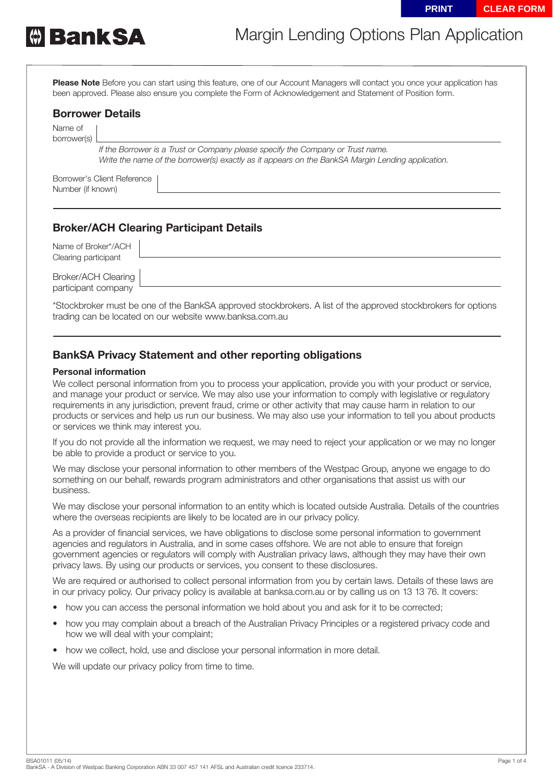

# Margin Lending Options Plan Application

**Please Note** Before you can start using this feature, one of our Account Managers will contact you once your application has been approved. Please also ensure you complete the Form of Acknowledgement and Statement of Position form.

### **Borrower Details**

Name of borrower(s)

> *If the Borrower is a Trust or Company please specify the Company or Trust name. Write the name of the borrower(s) exactly as it appears on the BankSA Margin Lending application.*

Borrower's Client Reference Number (if known)

## **Broker/ACH Clearing Participant Details**

| Name of Broker*/ACH<br>Clearing participant |  |
|---------------------------------------------|--|
| Broker/ACH Clearing<br>participant company  |  |

\*Stockbroker must be one of the BankSA approved stockbrokers. A list of the approved stockbrokers for options trading can be located on our website www.banksa.com.au

## **BankSA Privacy Statement and other reporting obligations**

#### **Personal information**

We collect personal information from you to process your application, provide you with your product or service, and manage your product or service. We may also use your information to comply with legislative or regulatory requirements in any jurisdiction, prevent fraud, crime or other activity that may cause harm in relation to our products or services and help us run our business. We may also use your information to tell you about products or services we think may interest you.

If you do not provide all the information we request, we may need to reject your application or we may no longer be able to provide a product or service to you.

We may disclose your personal information to other members of the Westpac Group, anyone we engage to do something on our behalf, rewards program administrators and other organisations that assist us with our business.

We may disclose your personal information to an entity which is located outside Australia. Details of the countries where the overseas recipients are likely to be located are in our privacy policy.

As a provider of financial services, we have obligations to disclose some personal information to government agencies and regulators in Australia, and in some cases offshore. We are not able to ensure that foreign government agencies or regulators will comply with Australian privacy laws, although they may have their own privacy laws. By using our products or services, you consent to these disclosures.

We are required or authorised to collect personal information from you by certain laws. Details of these laws are in our privacy policy. Our privacy policy is available at banksa.com.au or by calling us on 13 13 76. It covers:

- how you can access the personal information we hold about you and ask for it to be corrected;
- how you may complain about a breach of the Australian Privacy Principles or a registered privacy code and how we will deal with your complaint;
- how we collect, hold, use and disclose your personal information in more detail.

We will update our privacy policy from time to time.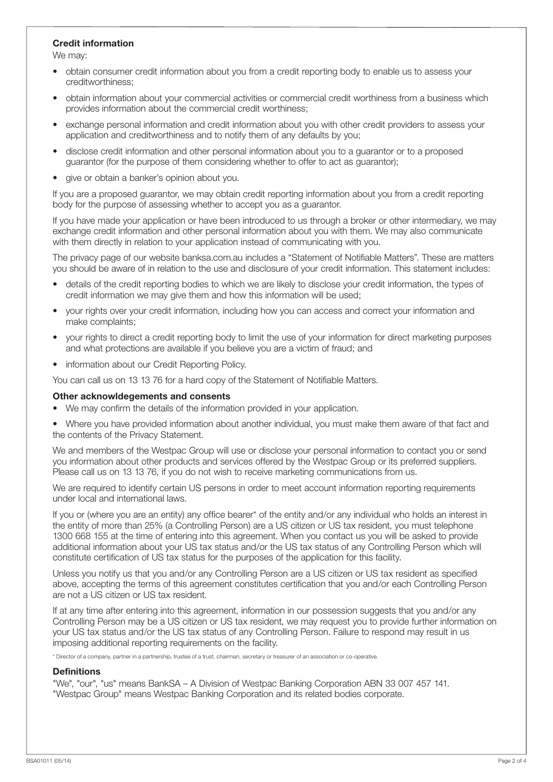#### **Credit information**

We may:

- obtain consumer credit information about you from a credit reporting body to enable us to assess your creditworthiness;
- obtain information about your commercial activities or commercial credit worthiness from a business which provides information about the commercial credit worthiness;
- exchange personal information and credit information about you with other credit providers to assess your application and creditworthiness and to notify them of any defaults by you;
- disclose credit information and other personal information about you to a guarantor or to a proposed guarantor (for the purpose of them considering whether to offer to act as guarantor);
- give or obtain a banker's opinion about you.

If you are a proposed guarantor, we may obtain credit reporting information about you from a credit reporting body for the purpose of assessing whether to accept you as a guarantor.

If you have made your application or have been introduced to us through a broker or other intermediary, we may exchange credit information and other personal information about you with them. We may also communicate with them directly in relation to your application instead of communicating with you.

The privacy page of our website banksa.com.au includes a "Statement of Notifiable Matters". These are matters you should be aware of in relation to the use and disclosure of your credit information. This statement includes:

- details of the credit reporting bodies to which we are likely to disclose your credit information, the types of credit information we may give them and how this information will be used;
- vour rights over your credit information, including how you can access and correct your information and make complaints;
- your rights to direct a credit reporting body to limit the use of your information for direct marketing purposes and what protections are available if you believe you are a victim of fraud; and
- information about our Credit Reporting Policy.

You can call us on 13 13 76 for a hard copy of the Statement of Notifiable Matters.

#### **Other acknowldegements and consents**

- We may confirm the details of the information provided in your application.
- Where you have provided information about another individual, you must make them aware of that fact and the contents of the Privacy Statement.

We and members of the Westpac Group will use or disclose your personal information to contact you or send you information about other products and services offered by the Westpac Group or its preferred suppliers. Please call us on 13 13 76, if you do not wish to receive marketing communications from us.

We are required to identify certain US persons in order to meet account information reporting requirements under local and international laws.

If you or (where you are an entity) any office bearer\* of the entity and/or any individual who holds an interest in the entity of more than 25% (a Controlling Person) are a US citizen or US tax resident, you must telephone 1300 668 155 at the time of entering into this agreement. When you contact us you will be asked to provide additional information about your US tax status and/or the US tax status of any Controlling Person which will constitute certification of US tax status for the purposes of the application for this facility.

Unless you notify us that you and/or any Controlling Person are a US citizen or US tax resident as specified above, accepting the terms of this agreement constitutes certification that you and/or each Controlling Person are not a US citizen or US tax resident.

If at any time after entering into this agreement, information in our possession suggests that you and/or any Controlling Person may be a US citizen or US tax resident, we may request you to provide further information on your US tax status and/or the US tax status of any Controlling Person. Failure to respond may result in us imposing additional reporting requirements on the facility.

\* Director of a company, partner in a partnership, trustee of a trust, chairman, secretary or treasurer of an association or co-operative.

#### **Definitions**

"We", "our", "us" means BankSA – A Division of Westpac Banking Corporation ABN 33 007 457 141. "Westpac Group" means Westpac Banking Corporation and its related bodies corporate.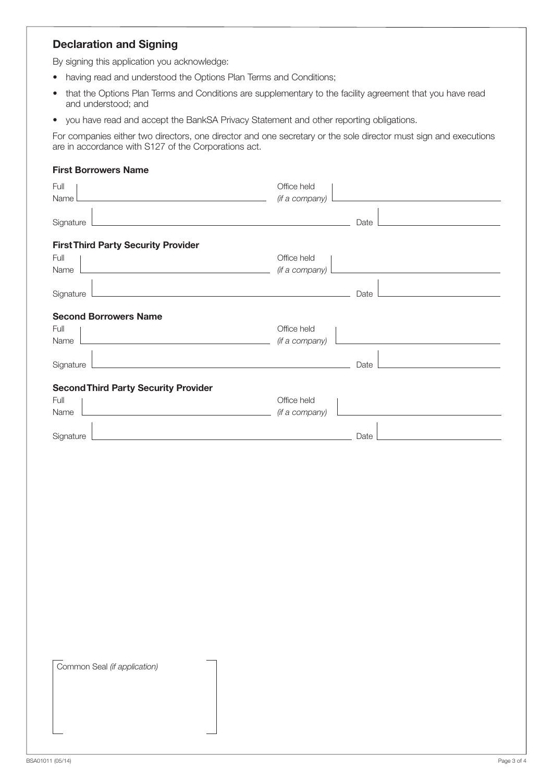## **Declaration and Signing**

By signing this application you acknowledge:

- having read and understood the Options Plan Terms and Conditions;
- that the Options Plan Terms and Conditions are supplementary to the facility agreement that you have read and understood; and
- you have read and accept the BankSA Privacy Statement and other reporting obligations.

For companies either two directors, one director and one secretary or the sole director must sign and executions are in accordance with S127 of the Corporations act.

#### **First Borrowers Name**

| Full                                                                                                                              | Office held    |      |
|-----------------------------------------------------------------------------------------------------------------------------------|----------------|------|
| Name                                                                                                                              | (if a company) |      |
| Signature<br><u> 1980 - Jan Stein Stein Stein Stein Stein Stein Stein Stein Stein Stein Stein Stein Stein Stein Stein Stein S</u> |                | Date |
|                                                                                                                                   |                |      |
| <b>First Third Party Security Provider</b>                                                                                        |                |      |
| Full                                                                                                                              | Office held    |      |
| Name                                                                                                                              | (if a company) |      |
| Signature<br>the control of the control of the control of the control of the control of the control of                            |                | Date |
| <b>Second Borrowers Name</b>                                                                                                      |                |      |
| Full                                                                                                                              | Office held    |      |
| Name                                                                                                                              | (if a company) |      |
|                                                                                                                                   |                |      |
| the control of the control of the control of the control of the control of the<br>Signature                                       |                | Date |
| <b>Second Third Party Security Provider</b>                                                                                       |                |      |
| Full                                                                                                                              | Office held    |      |
| Name                                                                                                                              | (if a company) |      |
| Signature<br><u> 1989 - Johann Barbara, marka a shekara tsa 1989 - An tsa 1989 - An tsa 1989 - An tsa 1989 - An tsa 1989 - An</u> |                | Date |
|                                                                                                                                   |                |      |
|                                                                                                                                   |                |      |
|                                                                                                                                   |                |      |
|                                                                                                                                   |                |      |
|                                                                                                                                   |                |      |
|                                                                                                                                   |                |      |
|                                                                                                                                   |                |      |
|                                                                                                                                   |                |      |
|                                                                                                                                   |                |      |
|                                                                                                                                   |                |      |
|                                                                                                                                   |                |      |
|                                                                                                                                   |                |      |
|                                                                                                                                   |                |      |
|                                                                                                                                   |                |      |
|                                                                                                                                   |                |      |
|                                                                                                                                   |                |      |
| Common Seal (if application)                                                                                                      |                |      |
|                                                                                                                                   |                |      |
|                                                                                                                                   |                |      |
|                                                                                                                                   |                |      |
|                                                                                                                                   |                |      |
|                                                                                                                                   |                |      |